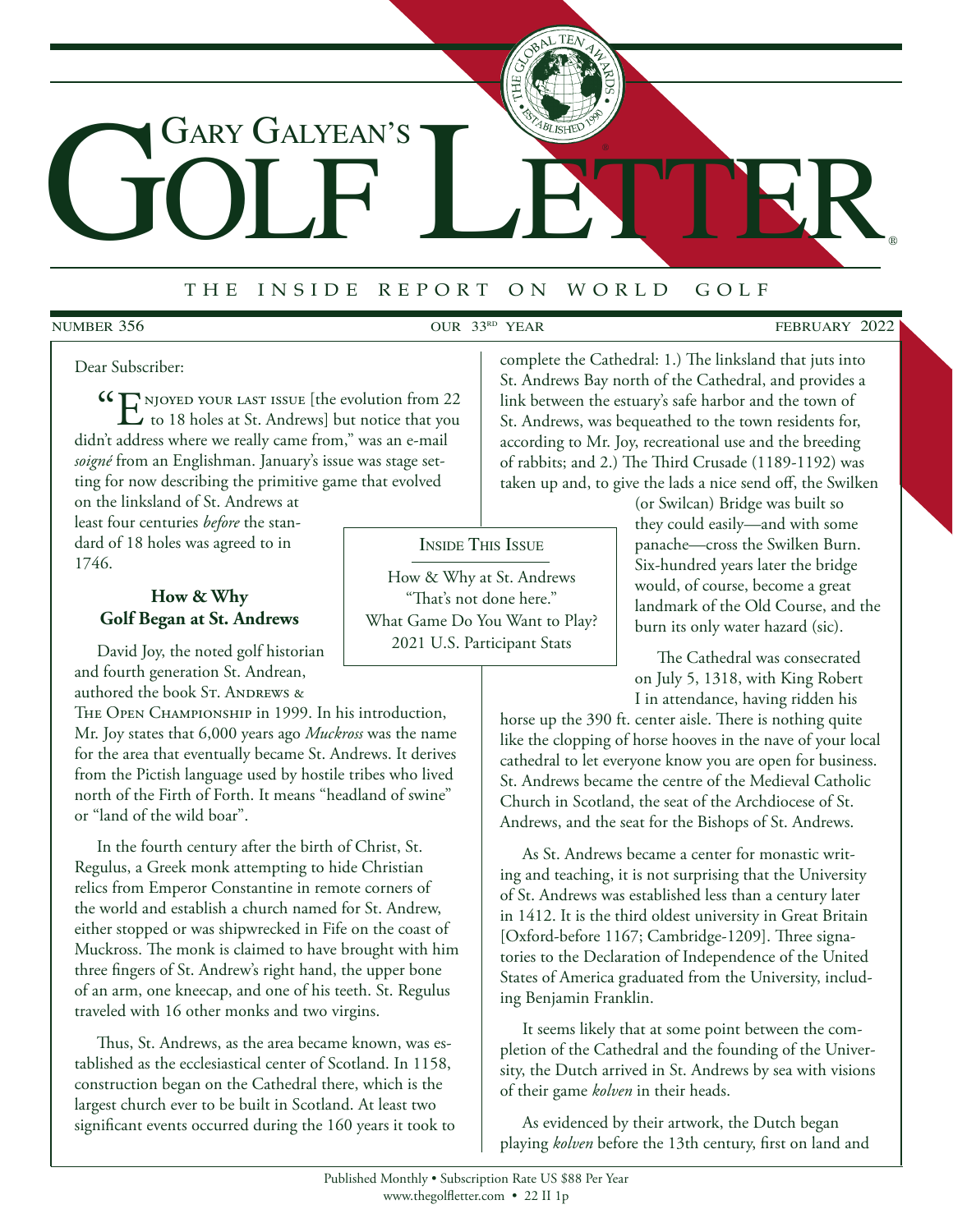# GOLF LETTER Gary Galyean's

# <sup>t</sup> <sup>h</sup> e i <sup>n</sup> <sup>s</sup> <sup>i</sup> <sup>d</sup> e r <sup>e</sup> <sup>p</sup> <sup>o</sup> <sup>r</sup> t o n w <sup>o</sup> <sup>r</sup> <sup>l</sup> d g <sup>o</sup> <sup>l</sup> <sup>f</sup>

## **NUMBER 356**

NUMBER 356 OUR 33<sup>RD</sup> YEAR FEBRUARY 2022

®

#### Dear Subscriber:

 $\mathcal{C}$   $\mathcal{C}$   $\mathcal{C}$  holes at St. Andrews] but notice that you didn't address where we really came from," was an e-mail *soigné* from an Englishman. January's issue was stage setting for now describing the primitive game that evolved

on the linksland of St. Andrews at least four centuries *before* the standard of 18 holes was agreed to in 1746.

## **How & Why Golf Began at St. Andrews**

David Joy, the noted golf historian and fourth generation St. Andrean, authored the book St. ANDREWS &

THE OPEN CHAMPIONSHIP in 1999. In his introduction, Mr. Joy states that 6,000 years ago *Muckross* was the name for the area that eventually became St. Andrews. It derives from the Pictish language used by hostile tribes who lived north of the Firth of Forth. It means "headland of swine" or "land of the wild boar".

In the fourth century after the birth of Christ, St. Regulus, a Greek monk attempting to hide Christian relics from Emperor Constantine in remote corners of the world and establish a church named for St. Andrew, either stopped or was shipwrecked in Fife on the coast of Muckross. The monk is claimed to have brought with him three fingers of St. Andrew's right hand, the upper bone of an arm, one kneecap, and one of his teeth. St. Regulus traveled with 16 other monks and two virgins.

Thus, St. Andrews, as the area became known, was established as the ecclesiastical center of Scotland. In 1158, construction began on the Cathedral there, which is the largest church ever to be built in Scotland. At least two significant events occurred during the 160 years it took to

Inside This Issue

How & Why at St. Andrews "That's not done here." What Game Do You Want to Play? 2021 U.S. Participant Stats

complete the Cathedral: 1.) The linksland that juts into St. Andrews Bay north of the Cathedral, and provides a link between the estuary's safe harbor and the town of St. Andrews, was bequeathed to the town residents for, according to Mr. Joy, recreational use and the breeding of rabbits; and 2.) The Third Crusade (1189-1192) was taken up and, to give the lads a nice send off, the Swilken

> (or Swilcan) Bridge was built so they could easily—and with some panache—cross the Swilken Burn. Six-hundred years later the bridge would, of course, become a great landmark of the Old Course, and the burn its only water hazard (sic).

The Cathedral was consecrated on July 5, 1318, with King Robert I in attendance, having ridden his

horse up the 390 ft. center aisle. There is nothing quite like the clopping of horse hooves in the nave of your local cathedral to let everyone know you are open for business. St. Andrews became the centre of the Medieval Catholic Church in Scotland, the seat of the Archdiocese of St. Andrews, and the seat for the Bishops of St. Andrews.

As St. Andrews became a center for monastic writing and teaching, it is not surprising that the University of St. Andrews was established less than a century later in 1412. It is the third oldest university in Great Britain [Oxford-before 1167; Cambridge-1209]. Three signatories to the Declaration of Independence of the United States of America graduated from the University, including Benjamin Franklin.

It seems likely that at some point between the completion of the Cathedral and the founding of the University, the Dutch arrived in St. Andrews by sea with visions of their game *kolven* in their heads.

As evidenced by their artwork, the Dutch began playing *kolven* before the 13th century, first on land and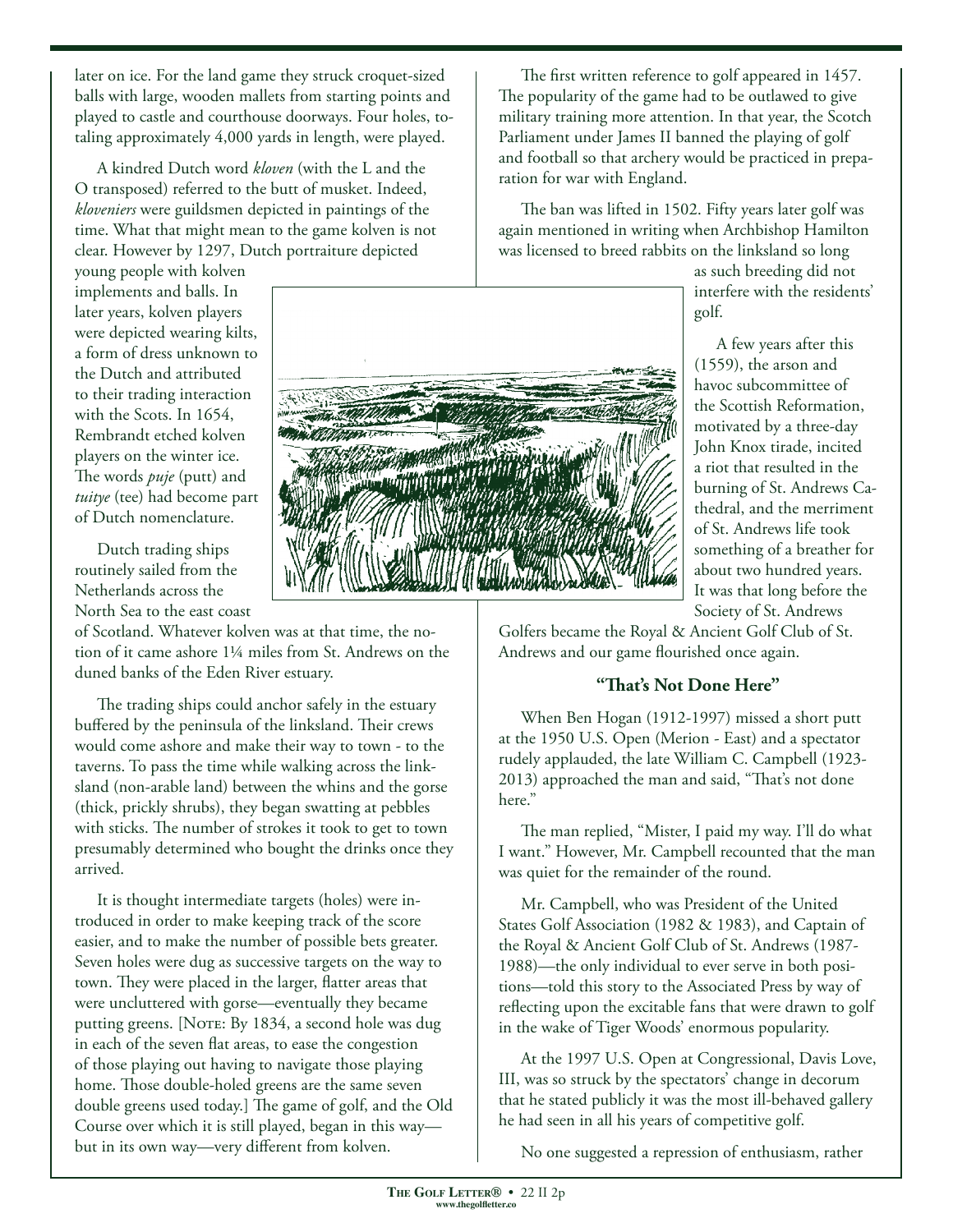later on ice. For the land game they struck croquet-sized balls with large, wooden mallets from starting points and played to castle and courthouse doorways. Four holes, totaling approximately 4,000 yards in length, were played.

A kindred Dutch word *kloven* (with the L and the O transposed) referred to the butt of musket. Indeed, *kloveniers* were guildsmen depicted in paintings of the time. What that might mean to the game kolven is not clear. However by 1297, Dutch portraiture depicted

young people with kolven implements and balls. In later years, kolven players were depicted wearing kilts, a form of dress unknown to the Dutch and attributed to their trading interaction with the Scots. In 1654, Rembrandt etched kolven players on the winter ice. The words *puje* (putt) and *tuitye* (tee) had become part of Dutch nomenclature.

Dutch trading ships routinely sailed from the Netherlands across the North Sea to the east coast

of Scotland. Whatever kolven was at that time, the notion of it came ashore 1¼ miles from St. Andrews on the duned banks of the Eden River estuary.

The trading ships could anchor safely in the estuary buffered by the peninsula of the linksland. Their crews would come ashore and make their way to town - to the taverns. To pass the time while walking across the linksland (non-arable land) between the whins and the gorse (thick, prickly shrubs), they began swatting at pebbles with sticks. The number of strokes it took to get to town presumably determined who bought the drinks once they arrived.

It is thought intermediate targets (holes) were introduced in order to make keeping track of the score easier, and to make the number of possible bets greater. Seven holes were dug as successive targets on the way to town. They were placed in the larger, flatter areas that were uncluttered with gorse—eventually they became putting greens. [Note: By 1834, a second hole was dug in each of the seven flat areas, to ease the congestion of those playing out having to navigate those playing home. Those double-holed greens are the same seven double greens used today.] The game of golf, and the Old Course over which it is still played, began in this way but in its own way—very different from kolven.

The first written reference to golf appeared in 1457. The popularity of the game had to be outlawed to give military training more attention. In that year, the Scotch Parliament under James II banned the playing of golf and football so that archery would be practiced in preparation for war with England.

The ban was lifted in 1502. Fifty years later golf was again mentioned in writing when Archbishop Hamilton was licensed to breed rabbits on the linksland so long



as such breeding did not interfere with the residents' golf.

A few years after this (1559), the arson and havoc subcommittee of the Scottish Reformation, motivated by a three-day John Knox tirade, incited a riot that resulted in the burning of St. Andrews Cathedral, and the merriment of St. Andrews life took something of a breather for about two hundred years. It was that long before the Society of St. Andrews

Golfers became the Royal & Ancient Golf Club of St. Andrews and our game flourished once again.

## **"That's Not Done Here"**

When Ben Hogan (1912-1997) missed a short putt at the 1950 U.S. Open (Merion - East) and a spectator rudely applauded, the late William C. Campbell (1923- 2013) approached the man and said, "That's not done here."

The man replied, "Mister, I paid my way. I'll do what I want." However, Mr. Campbell recounted that the man was quiet for the remainder of the round.

Mr. Campbell, who was President of the United States Golf Association (1982 & 1983), and Captain of the Royal & Ancient Golf Club of St. Andrews (1987- 1988)—the only individual to ever serve in both positions—told this story to the Associated Press by way of reflecting upon the excitable fans that were drawn to golf in the wake of Tiger Woods' enormous popularity.

At the 1997 U.S. Open at Congressional, Davis Love, III, was so struck by the spectators' change in decorum that he stated publicly it was the most ill-behaved gallery he had seen in all his years of competitive golf.

No one suggested a repression of enthusiasm, rather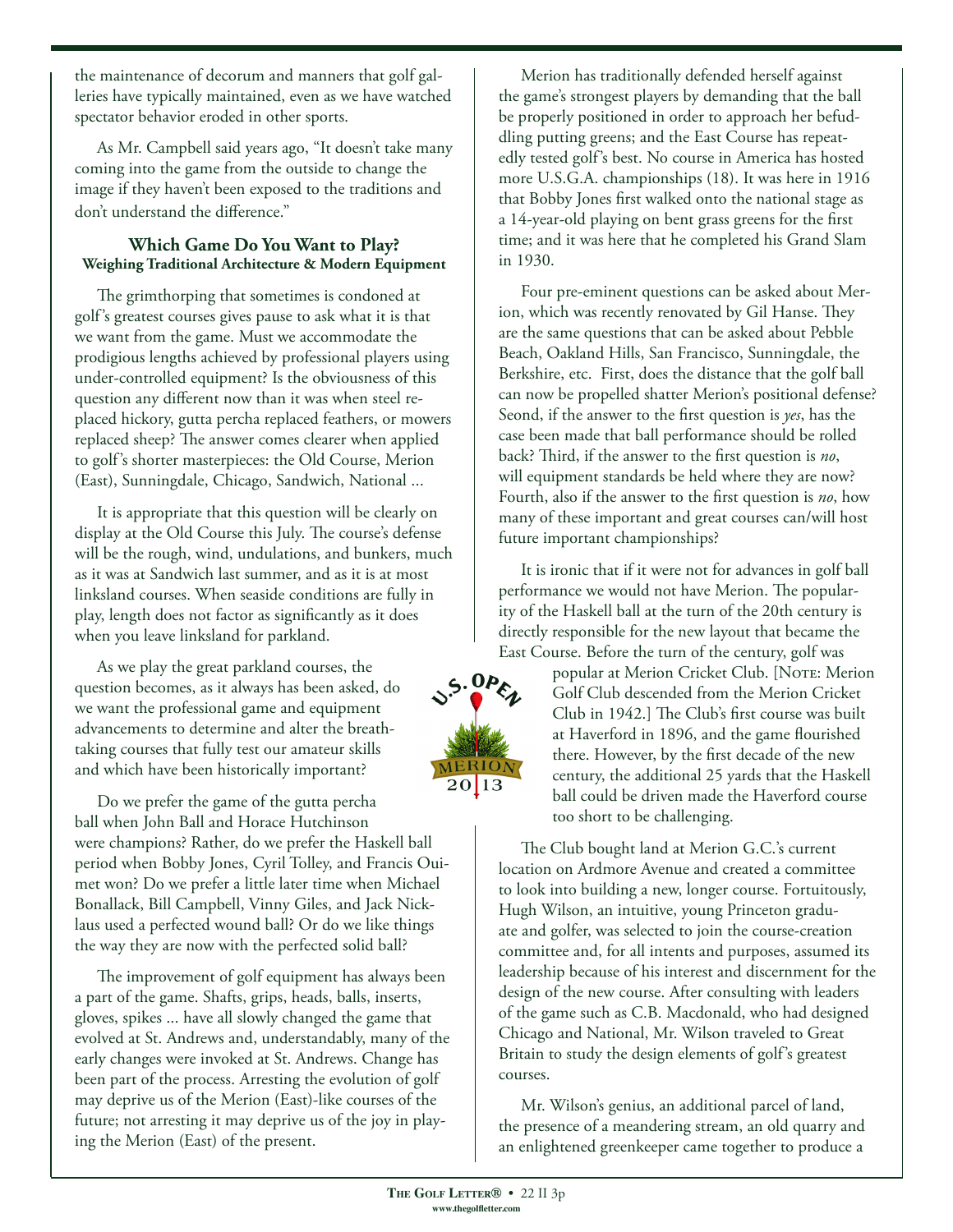the maintenance of decorum and manners that golf galleries have typically maintained, even as we have watched spectator behavior eroded in other sports.

As Mr. Campbell said years ago, "It doesn't take many coming into the game from the outside to change the image if they haven't been exposed to the traditions and don't understand the difference."

### **Which Game Do You Want to Play? Weighing Traditional Architecture & Modern Equipment**

The grimthorping that sometimes is condoned at golf's greatest courses gives pause to ask what it is that we want from the game. Must we accommodate the prodigious lengths achieved by professional players using under-controlled equipment? Is the obviousness of this question any different now than it was when steel replaced hickory, gutta percha replaced feathers, or mowers replaced sheep? The answer comes clearer when applied to golf's shorter masterpieces: the Old Course, Merion (East), Sunningdale, Chicago, Sandwich, National ...

It is appropriate that this question will be clearly on display at the Old Course this July. The course's defense will be the rough, wind, undulations, and bunkers, much as it was at Sandwich last summer, and as it is at most linksland courses. When seaside conditions are fully in play, length does not factor as significantly as it does when you leave linksland for parkland.

As we play the great parkland courses, the question becomes, as it always has been asked, do we want the professional game and equipment advancements to determine and alter the breathtaking courses that fully test our amateur skills and which have been historically important?

Do we prefer the game of the gutta percha ball when John Ball and Horace Hutchinson were champions? Rather, do we prefer the Haskell ball period when Bobby Jones, Cyril Tolley, and Francis Ouimet won? Do we prefer a little later time when Michael Bonallack, Bill Campbell, Vinny Giles, and Jack Nicklaus used a perfected wound ball? Or do we like things the way they are now with the perfected solid ball?

The improvement of golf equipment has always been a part of the game. Shafts, grips, heads, balls, inserts, gloves, spikes ... have all slowly changed the game that evolved at St. Andrews and, understandably, many of the early changes were invoked at St. Andrews. Change has been part of the process. Arresting the evolution of golf may deprive us of the Merion (East)-like courses of the future; not arresting it may deprive us of the joy in playing the Merion (East) of the present.

Merion has traditionally defended herself against the game's strongest players by demanding that the ball be properly positioned in order to approach her befuddling putting greens; and the East Course has repeatedly tested golf's best. No course in America has hosted more U.S.G.A. championships (18). It was here in 1916 that Bobby Jones first walked onto the national stage as a 14-year-old playing on bent grass greens for the first time; and it was here that he completed his Grand Slam in 1930.

Four pre-eminent questions can be asked about Merion, which was recently renovated by Gil Hanse. They are the same questions that can be asked about Pebble Beach, Oakland Hills, San Francisco, Sunningdale, the Berkshire, etc. First, does the distance that the golf ball can now be propelled shatter Merion's positional defense? Seond, if the answer to the first question is *yes*, has the case been made that ball performance should be rolled back? Third, if the answer to the first question is *no*, will equipment standards be held where they are now? Fourth, also if the answer to the first question is *no*, how many of these important and great courses can/will host future important championships?

It is ironic that if it were not for advances in golf ball performance we would not have Merion. The popularity of the Haskell ball at the turn of the 20th century is directly responsible for the new layout that became the East Course. Before the turn of the century, golf was



popular at Merion Cricket Club. [Note: Merion Golf Club descended from the Merion Cricket Club in 1942.] The Club's first course was built at Haverford in 1896, and the game flourished there. However, by the first decade of the new century, the additional 25 yards that the Haskell ball could be driven made the Haverford course too short to be challenging.

The Club bought land at Merion G.C.'s current location on Ardmore Avenue and created a committee to look into building a new, longer course. Fortuitously, Hugh Wilson, an intuitive, young Princeton graduate and golfer, was selected to join the course-creation committee and, for all intents and purposes, assumed its leadership because of his interest and discernment for the design of the new course. After consulting with leaders of the game such as C.B. Macdonald, who had designed Chicago and National, Mr. Wilson traveled to Great Britain to study the design elements of golf's greatest courses.

Mr. Wilson's genius, an additional parcel of land, the presence of a meandering stream, an old quarry and an enlightened greenkeeper came together to produce a